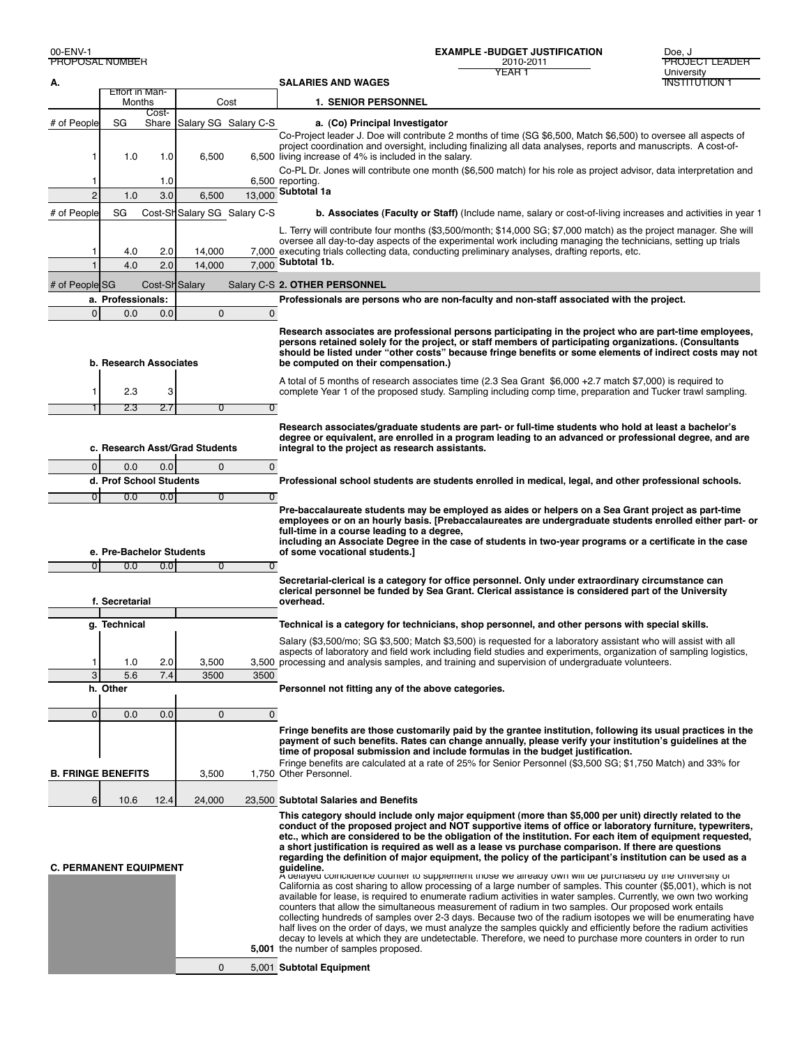YEAR 1 PROPOSAL NUMBER 2010-2011 PROJECT LEADER **EXAMPLE -BUDGET JUSTIFICATION** Doe, J

| А.                             |                          |                |             |                              | <b>SALARIES AND WAGES</b><br><b>INSTITUTION 1</b>                                                                                                                                                                                                                                                                                                                                                                                                                                                                                                                                                                                                                                                                                                                                                                                                                                                                                                                                                                                                                                                                                                                                                                                                                                                                                                                                                                         |  |
|--------------------------------|--------------------------|----------------|-------------|------------------------------|---------------------------------------------------------------------------------------------------------------------------------------------------------------------------------------------------------------------------------------------------------------------------------------------------------------------------------------------------------------------------------------------------------------------------------------------------------------------------------------------------------------------------------------------------------------------------------------------------------------------------------------------------------------------------------------------------------------------------------------------------------------------------------------------------------------------------------------------------------------------------------------------------------------------------------------------------------------------------------------------------------------------------------------------------------------------------------------------------------------------------------------------------------------------------------------------------------------------------------------------------------------------------------------------------------------------------------------------------------------------------------------------------------------------------|--|
|                                |                          | Effort in Man- |             |                              |                                                                                                                                                                                                                                                                                                                                                                                                                                                                                                                                                                                                                                                                                                                                                                                                                                                                                                                                                                                                                                                                                                                                                                                                                                                                                                                                                                                                                           |  |
|                                | Months                   | Cost-          |             | Cost                         | <b>1. SENIOR PERSONNEL</b>                                                                                                                                                                                                                                                                                                                                                                                                                                                                                                                                                                                                                                                                                                                                                                                                                                                                                                                                                                                                                                                                                                                                                                                                                                                                                                                                                                                                |  |
| # of People                    | SG                       |                |             | Share Salary SG Salary C-S   | a. (Co) Principal Investigator                                                                                                                                                                                                                                                                                                                                                                                                                                                                                                                                                                                                                                                                                                                                                                                                                                                                                                                                                                                                                                                                                                                                                                                                                                                                                                                                                                                            |  |
| 1                              | 1.0                      | 1.0            | 6,500       |                              | Co-Project leader J. Doe will contribute 2 months of time (SG \$6,500, Match \$6,500) to oversee all aspects of<br>project coordination and oversight, including finalizing all data analyses, reports and manuscripts. A cost-of-<br>6,500 living increase of 4% is included in the salary.                                                                                                                                                                                                                                                                                                                                                                                                                                                                                                                                                                                                                                                                                                                                                                                                                                                                                                                                                                                                                                                                                                                              |  |
| 1                              |                          | 1.0            |             |                              | Co-PL Dr. Jones will contribute one month (\$6,500 match) for his role as project advisor, data interpretation and<br>6,500 reporting.<br>Subtotal 1a                                                                                                                                                                                                                                                                                                                                                                                                                                                                                                                                                                                                                                                                                                                                                                                                                                                                                                                                                                                                                                                                                                                                                                                                                                                                     |  |
| $\overline{2}$                 | 1.0                      | 3.0            | 6,500       | 13.000                       |                                                                                                                                                                                                                                                                                                                                                                                                                                                                                                                                                                                                                                                                                                                                                                                                                                                                                                                                                                                                                                                                                                                                                                                                                                                                                                                                                                                                                           |  |
| # of People                    | SG                       |                |             | Cost-Sh Salary SG Salary C-S | b. Associates (Faculty or Staff) (Include name, salary or cost-of-living increases and activities in year 1                                                                                                                                                                                                                                                                                                                                                                                                                                                                                                                                                                                                                                                                                                                                                                                                                                                                                                                                                                                                                                                                                                                                                                                                                                                                                                               |  |
| 1                              | 4.0                      | 2.0            | 14,000      |                              | L. Terry will contribute four months (\$3,500/month; \$14,000 SG; \$7,000 match) as the project manager. She will<br>oversee all day-to-day aspects of the experimental work including managing the technicians, setting up trials<br>7,000 executing trials collecting data, conducting preliminary analyses, drafting reports, etc.                                                                                                                                                                                                                                                                                                                                                                                                                                                                                                                                                                                                                                                                                                                                                                                                                                                                                                                                                                                                                                                                                     |  |
| 1                              | 4.0                      | 2.0            | 14,000      | 7.000                        | Subtotal 1b.                                                                                                                                                                                                                                                                                                                                                                                                                                                                                                                                                                                                                                                                                                                                                                                                                                                                                                                                                                                                                                                                                                                                                                                                                                                                                                                                                                                                              |  |
| # of People SG                 |                          |                |             |                              |                                                                                                                                                                                                                                                                                                                                                                                                                                                                                                                                                                                                                                                                                                                                                                                                                                                                                                                                                                                                                                                                                                                                                                                                                                                                                                                                                                                                                           |  |
|                                |                          | Cost-Sh Salary |             |                              | Salary C-S 2. OTHER PERSONNEL                                                                                                                                                                                                                                                                                                                                                                                                                                                                                                                                                                                                                                                                                                                                                                                                                                                                                                                                                                                                                                                                                                                                                                                                                                                                                                                                                                                             |  |
|                                | a. Professionals:        |                |             |                              | Professionals are persons who are non-faculty and non-staff associated with the project.                                                                                                                                                                                                                                                                                                                                                                                                                                                                                                                                                                                                                                                                                                                                                                                                                                                                                                                                                                                                                                                                                                                                                                                                                                                                                                                                  |  |
| 0                              | 0.0                      | 0.0            | $\pmb{0}$   | $\mathbf{0}$                 |                                                                                                                                                                                                                                                                                                                                                                                                                                                                                                                                                                                                                                                                                                                                                                                                                                                                                                                                                                                                                                                                                                                                                                                                                                                                                                                                                                                                                           |  |
|                                | b. Research Associates   |                |             |                              | Research associates are professional persons participating in the project who are part-time employees,<br>persons retained solely for the project, or staff members of participating organizations. (Consultants<br>should be listed under "other costs" because fringe benefits or some elements of indirect costs may not<br>be computed on their compensation.)                                                                                                                                                                                                                                                                                                                                                                                                                                                                                                                                                                                                                                                                                                                                                                                                                                                                                                                                                                                                                                                        |  |
| 1                              | 2.3                      | 3              |             |                              | A total of 5 months of research associates time (2.3 Sea Grant \$6,000 +2.7 match \$7,000) is required to<br>complete Year 1 of the proposed study. Sampling including comp time, preparation and Tucker trawl sampling.                                                                                                                                                                                                                                                                                                                                                                                                                                                                                                                                                                                                                                                                                                                                                                                                                                                                                                                                                                                                                                                                                                                                                                                                  |  |
| 1                              | 2.3                      | 2.7            | 0           | 0                            |                                                                                                                                                                                                                                                                                                                                                                                                                                                                                                                                                                                                                                                                                                                                                                                                                                                                                                                                                                                                                                                                                                                                                                                                                                                                                                                                                                                                                           |  |
| c. Research Asst/Grad Students |                          |                |             |                              | Research associates/graduate students are part- or full-time students who hold at least a bachelor's<br>degree or equivalent, are enrolled in a program leading to an advanced or professional degree, and are<br>integral to the project as research assistants.                                                                                                                                                                                                                                                                                                                                                                                                                                                                                                                                                                                                                                                                                                                                                                                                                                                                                                                                                                                                                                                                                                                                                         |  |
| 0                              | 0.0                      | 0.0            | $\mathbf 0$ | $\mathbf{0}$                 |                                                                                                                                                                                                                                                                                                                                                                                                                                                                                                                                                                                                                                                                                                                                                                                                                                                                                                                                                                                                                                                                                                                                                                                                                                                                                                                                                                                                                           |  |
|                                | d. Prof School Students  |                |             |                              | Professional school students are students enrolled in medical, legal, and other professional schools.                                                                                                                                                                                                                                                                                                                                                                                                                                                                                                                                                                                                                                                                                                                                                                                                                                                                                                                                                                                                                                                                                                                                                                                                                                                                                                                     |  |
| 0                              | 0.0                      | 0.0            | 0           | $\overline{0}$               |                                                                                                                                                                                                                                                                                                                                                                                                                                                                                                                                                                                                                                                                                                                                                                                                                                                                                                                                                                                                                                                                                                                                                                                                                                                                                                                                                                                                                           |  |
|                                | e. Pre-Bachelor Students |                |             |                              | Pre-baccalaureate students may be employed as aides or helpers on a Sea Grant project as part-time<br>employees or on an hourly basis. [Prebaccalaureates are undergraduate students enrolled either part- or<br>full-time in a course leading to a degree,<br>including an Associate Degree in the case of students in two-year programs or a certificate in the case<br>of some vocational students.]                                                                                                                                                                                                                                                                                                                                                                                                                                                                                                                                                                                                                                                                                                                                                                                                                                                                                                                                                                                                                   |  |
| 0                              | 0.0                      | 0.0            | 0           | $\sigma$                     |                                                                                                                                                                                                                                                                                                                                                                                                                                                                                                                                                                                                                                                                                                                                                                                                                                                                                                                                                                                                                                                                                                                                                                                                                                                                                                                                                                                                                           |  |
|                                |                          |                |             |                              | Secretarial-clerical is a category for office personnel. Only under extraordinary circumstance can                                                                                                                                                                                                                                                                                                                                                                                                                                                                                                                                                                                                                                                                                                                                                                                                                                                                                                                                                                                                                                                                                                                                                                                                                                                                                                                        |  |
| f. Secretarial                 |                          |                |             |                              | clerical personnel be funded by Sea Grant. Clerical assistance is considered part of the University<br>overhead.                                                                                                                                                                                                                                                                                                                                                                                                                                                                                                                                                                                                                                                                                                                                                                                                                                                                                                                                                                                                                                                                                                                                                                                                                                                                                                          |  |
|                                | g. Technical             |                |             |                              | Technical is a category for technicians, shop personnel, and other persons with special skills.                                                                                                                                                                                                                                                                                                                                                                                                                                                                                                                                                                                                                                                                                                                                                                                                                                                                                                                                                                                                                                                                                                                                                                                                                                                                                                                           |  |
|                                |                          |                |             |                              | Salary (\$3,500/mo; SG \$3,500; Match \$3,500) is requested for a laboratory assistant who will assist with all<br>aspects of laboratory and field work including field studies and experiments, organization of sampling logistics,                                                                                                                                                                                                                                                                                                                                                                                                                                                                                                                                                                                                                                                                                                                                                                                                                                                                                                                                                                                                                                                                                                                                                                                      |  |
| 1                              | 1.0                      | 2.0            | 3,500       |                              | 3,500 processing and analysis samples, and training and supervision of undergraduate volunteers.                                                                                                                                                                                                                                                                                                                                                                                                                                                                                                                                                                                                                                                                                                                                                                                                                                                                                                                                                                                                                                                                                                                                                                                                                                                                                                                          |  |
| 3                              | 5.6                      | 7.4            | 3500        | 3500                         |                                                                                                                                                                                                                                                                                                                                                                                                                                                                                                                                                                                                                                                                                                                                                                                                                                                                                                                                                                                                                                                                                                                                                                                                                                                                                                                                                                                                                           |  |
|                                | h. Other                 |                |             |                              | Personnel not fitting any of the above categories.                                                                                                                                                                                                                                                                                                                                                                                                                                                                                                                                                                                                                                                                                                                                                                                                                                                                                                                                                                                                                                                                                                                                                                                                                                                                                                                                                                        |  |
| 0                              | 0.0                      | 0.0            | $\mathbf 0$ | 0                            |                                                                                                                                                                                                                                                                                                                                                                                                                                                                                                                                                                                                                                                                                                                                                                                                                                                                                                                                                                                                                                                                                                                                                                                                                                                                                                                                                                                                                           |  |
|                                |                          |                |             |                              | Fringe benefits are those customarily paid by the grantee institution, following its usual practices in the<br>payment of such benefits. Rates can change annually, please verify your institution's guidelines at the<br>time of proposal submission and include formulas in the budget justification.<br>Fringe benefits are calculated at a rate of 25% for Senior Personnel (\$3,500 SG; \$1,750 Match) and 33% for                                                                                                                                                                                                                                                                                                                                                                                                                                                                                                                                                                                                                                                                                                                                                                                                                                                                                                                                                                                                   |  |
| <b>B. FRINGE BENEFITS</b>      |                          |                | 3,500       |                              | 1,750 Other Personnel.                                                                                                                                                                                                                                                                                                                                                                                                                                                                                                                                                                                                                                                                                                                                                                                                                                                                                                                                                                                                                                                                                                                                                                                                                                                                                                                                                                                                    |  |
| 6                              | 10.6                     | 12.4           | 24,000      |                              | 23,500 Subtotal Salaries and Benefits                                                                                                                                                                                                                                                                                                                                                                                                                                                                                                                                                                                                                                                                                                                                                                                                                                                                                                                                                                                                                                                                                                                                                                                                                                                                                                                                                                                     |  |
| <b>C. PERMANENT EQUIPMENT</b>  |                          |                |             |                              | This category should include only major equipment (more than \$5,000 per unit) directly related to the<br>conduct of the proposed project and NOT supportive items of office or laboratory furniture, typewriters,<br>etc., which are considered to be the obligation of the institution. For each item of equipment requested,<br>a short justification is required as well as a lease vs purchase comparison. If there are questions<br>regarding the definition of major equipment, the policy of the participant's institution can be used as a<br>quideline.<br>A delayed comcluence counter to supplement those we already own will be purchased by the University of<br>California as cost sharing to allow processing of a large number of samples. This counter (\$5,001), which is not<br>available for lease, is required to enumerate radium activities in water samples. Currently, we own two working<br>counters that allow the simultaneous measurement of radium in two samples. Our proposed work entails<br>collecting hundreds of samples over 2-3 days. Because two of the radium isotopes we will be enumerating have<br>half lives on the order of days, we must analyze the samples quickly and efficiently before the radium activities<br>decay to levels at which they are undetectable. Therefore, we need to purchase more counters in order to run<br>5,001 the number of samples proposed. |  |
|                                |                          |                | $\mathbf 0$ |                              | 5,001 Subtotal Equipment                                                                                                                                                                                                                                                                                                                                                                                                                                                                                                                                                                                                                                                                                                                                                                                                                                                                                                                                                                                                                                                                                                                                                                                                                                                                                                                                                                                                  |  |